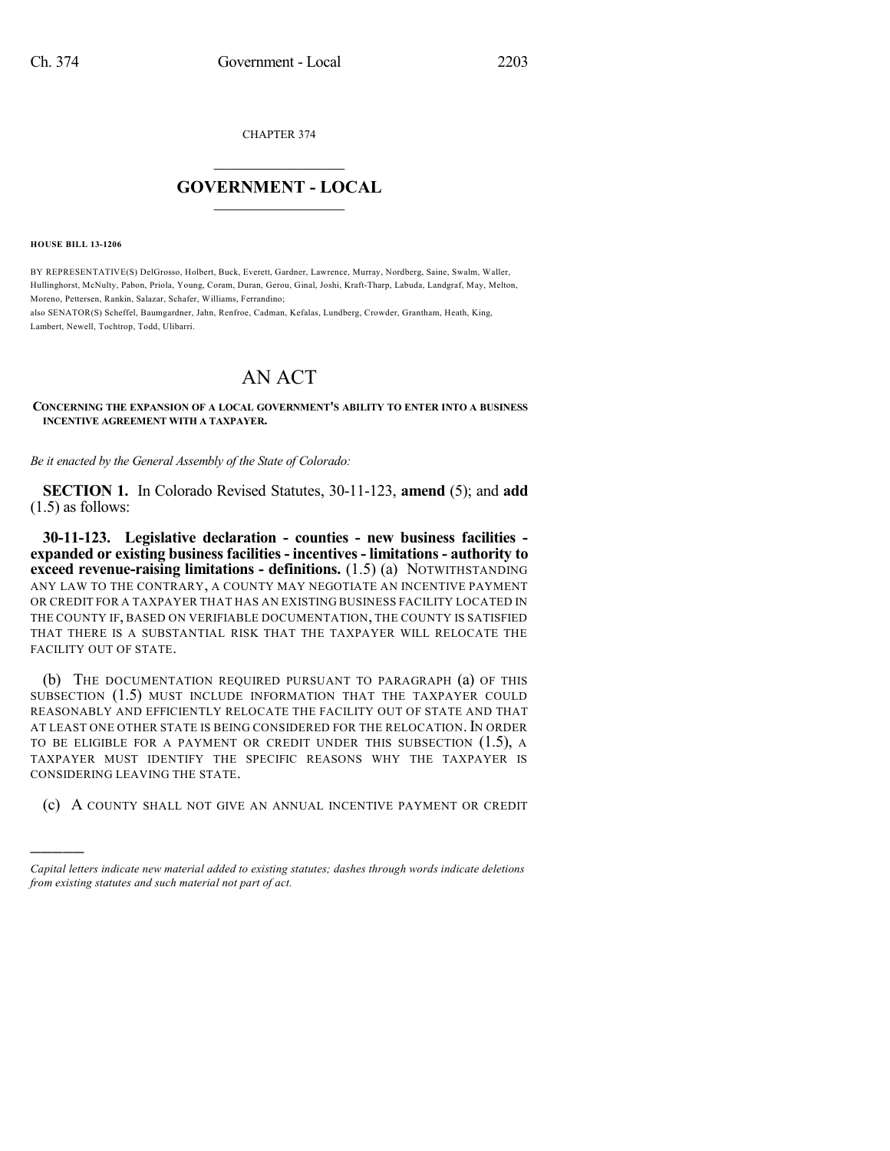CHAPTER 374

## $\mathcal{L}_\text{max}$  . The set of the set of the set of the set of the set of the set of the set of the set of the set of the set of the set of the set of the set of the set of the set of the set of the set of the set of the set **GOVERNMENT - LOCAL**  $\_$

**HOUSE BILL 13-1206**

)))))

BY REPRESENTATIVE(S) DelGrosso, Holbert, Buck, Everett, Gardner, Lawrence, Murray, Nordberg, Saine, Swalm, Waller, Hullinghorst, McNulty, Pabon, Priola, Young, Coram, Duran, Gerou, Ginal, Joshi, Kraft-Tharp, Labuda, Landgraf, May, Melton, Moreno, Pettersen, Rankin, Salazar, Schafer, Williams, Ferrandino;

also SENATOR(S) Scheffel, Baumgardner, Jahn, Renfroe, Cadman, Kefalas, Lundberg, Crowder, Grantham, Heath, King, Lambert, Newell, Tochtrop, Todd, Ulibarri.

## AN ACT

**CONCERNING THE EXPANSION OF A LOCAL GOVERNMENT'S ABILITY TO ENTER INTO A BUSINESS INCENTIVE AGREEMENT WITH A TAXPAYER.**

*Be it enacted by the General Assembly of the State of Colorado:*

**SECTION 1.** In Colorado Revised Statutes, 30-11-123, **amend** (5); and **add** (1.5) as follows:

**30-11-123. Legislative declaration - counties - new business facilities expanded or existing business facilities - incentives - limitations - authority to exceed revenue-raising limitations - definitions.** (1.5) (a) NOTWITHSTANDING ANY LAW TO THE CONTRARY, A COUNTY MAY NEGOTIATE AN INCENTIVE PAYMENT OR CREDIT FOR A TAXPAYER THAT HAS AN EXISTING BUSINESS FACILITY LOCATED IN THE COUNTY IF, BASED ON VERIFIABLE DOCUMENTATION, THE COUNTY IS SATISFIED THAT THERE IS A SUBSTANTIAL RISK THAT THE TAXPAYER WILL RELOCATE THE FACILITY OUT OF STATE.

(b) THE DOCUMENTATION REQUIRED PURSUANT TO PARAGRAPH (a) OF THIS SUBSECTION (1.5) MUST INCLUDE INFORMATION THAT THE TAXPAYER COULD REASONABLY AND EFFICIENTLY RELOCATE THE FACILITY OUT OF STATE AND THAT AT LEAST ONE OTHER STATE IS BEING CONSIDERED FOR THE RELOCATION. IN ORDER TO BE ELIGIBLE FOR A PAYMENT OR CREDIT UNDER THIS SUBSECTION  $(1.5)$ , A TAXPAYER MUST IDENTIFY THE SPECIFIC REASONS WHY THE TAXPAYER IS CONSIDERING LEAVING THE STATE.

(c) A COUNTY SHALL NOT GIVE AN ANNUAL INCENTIVE PAYMENT OR CREDIT

*Capital letters indicate new material added to existing statutes; dashes through words indicate deletions from existing statutes and such material not part of act.*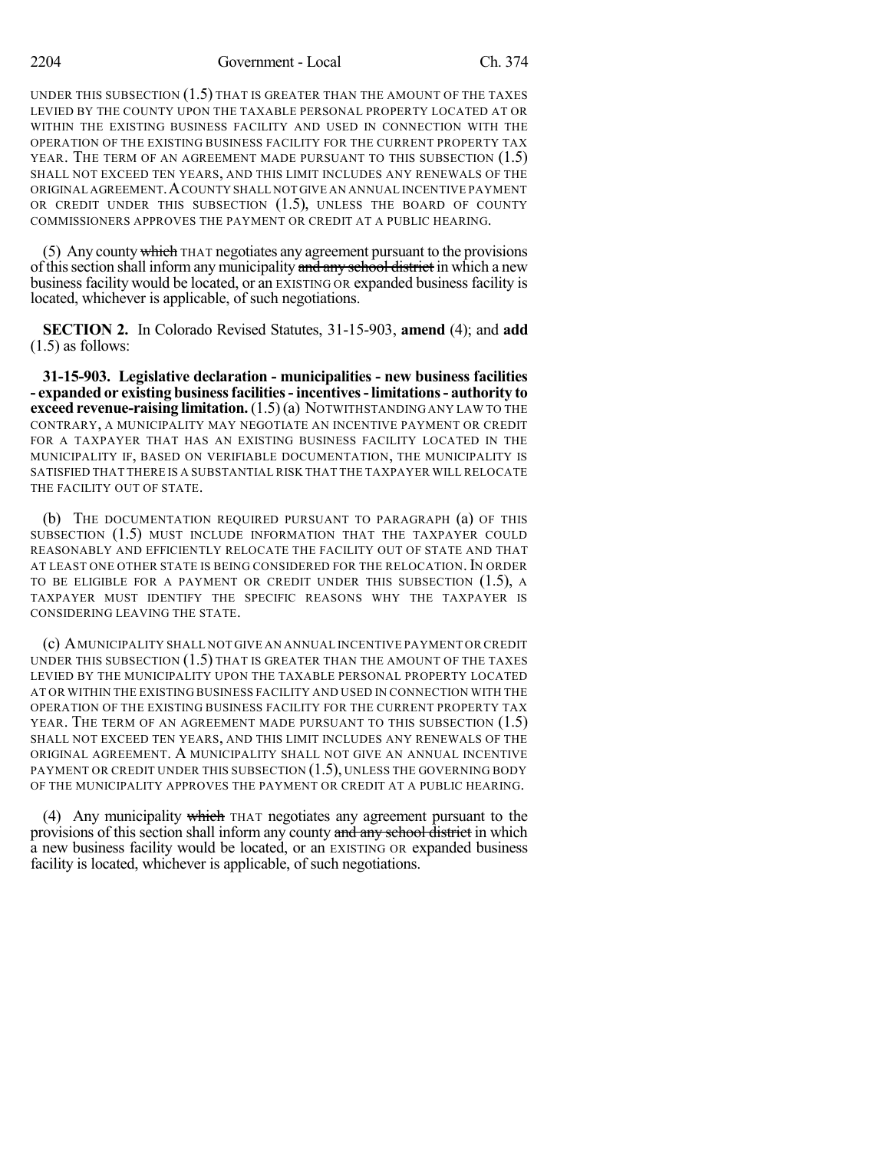UNDER THIS SUBSECTION (1.5) THAT IS GREATER THAN THE AMOUNT OF THE TAXES LEVIED BY THE COUNTY UPON THE TAXABLE PERSONAL PROPERTY LOCATED AT OR WITHIN THE EXISTING BUSINESS FACILITY AND USED IN CONNECTION WITH THE OPERATION OF THE EXISTING BUSINESS FACILITY FOR THE CURRENT PROPERTY TAX YEAR. THE TERM OF AN AGREEMENT MADE PURSUANT TO THIS SUBSECTION (1.5) SHALL NOT EXCEED TEN YEARS, AND THIS LIMIT INCLUDES ANY RENEWALS OF THE ORIGINAL AGREEMENT.ACOUNTY SHALL NOT GIVE AN ANNUAL INCENTIVE PAYMENT OR CREDIT UNDER THIS SUBSECTION (1.5), UNLESS THE BOARD OF COUNTY COMMISSIONERS APPROVES THE PAYMENT OR CREDIT AT A PUBLIC HEARING.

(5) Any county which THAT negotiates any agreement pursuant to the provisions of this section shall inform any municipality and any school district in which a new business facility would be located, or an EXISTING OR expanded business facility is located, whichever is applicable, of such negotiations.

**SECTION 2.** In Colorado Revised Statutes, 31-15-903, **amend** (4); and **add** (1.5) as follows:

**31-15-903. Legislative declaration - municipalities - new business facilities - expanded or existing businessfacilities- incentives-limitations- authority to exceed revenue-raising limitation.**(1.5)(a) NOTWITHSTANDING ANY LAW TO THE CONTRARY, A MUNICIPALITY MAY NEGOTIATE AN INCENTIVE PAYMENT OR CREDIT FOR A TAXPAYER THAT HAS AN EXISTING BUSINESS FACILITY LOCATED IN THE MUNICIPALITY IF, BASED ON VERIFIABLE DOCUMENTATION, THE MUNICIPALITY IS SATISFIED THAT THERE IS A SUBSTANTIAL RISK THAT THE TAXPAYER WILL RELOCATE THE FACILITY OUT OF STATE.

(b) THE DOCUMENTATION REQUIRED PURSUANT TO PARAGRAPH (a) OF THIS SUBSECTION (1.5) MUST INCLUDE INFORMATION THAT THE TAXPAYER COULD REASONABLY AND EFFICIENTLY RELOCATE THE FACILITY OUT OF STATE AND THAT AT LEAST ONE OTHER STATE IS BEING CONSIDERED FOR THE RELOCATION. IN ORDER TO BE ELIGIBLE FOR A PAYMENT OR CREDIT UNDER THIS SUBSECTION (1.5), A TAXPAYER MUST IDENTIFY THE SPECIFIC REASONS WHY THE TAXPAYER IS CONSIDERING LEAVING THE STATE.

(c) AMUNICIPALITY SHALL NOT GIVE AN ANNUAL INCENTIVE PAYMENT OR CREDIT UNDER THIS SUBSECTION (1.5) THAT IS GREATER THAN THE AMOUNT OF THE TAXES LEVIED BY THE MUNICIPALITY UPON THE TAXABLE PERSONAL PROPERTY LOCATED AT OR WITHIN THE EXISTING BUSINESS FACILITY AND USED IN CONNECTION WITH THE OPERATION OF THE EXISTING BUSINESS FACILITY FOR THE CURRENT PROPERTY TAX YEAR. THE TERM OF AN AGREEMENT MADE PURSUANT TO THIS SUBSECTION (1.5) SHALL NOT EXCEED TEN YEARS, AND THIS LIMIT INCLUDES ANY RENEWALS OF THE ORIGINAL AGREEMENT. A MUNICIPALITY SHALL NOT GIVE AN ANNUAL INCENTIVE PAYMENT OR CREDIT UNDER THIS SUBSECTION (1.5), UNLESS THE GOVERNING BODY OF THE MUNICIPALITY APPROVES THE PAYMENT OR CREDIT AT A PUBLIC HEARING.

(4) Any municipality which THAT negotiates any agreement pursuant to the provisions of this section shall inform any county and any school district in which a new business facility would be located, or an EXISTING OR expanded business facility is located, whichever is applicable, of such negotiations.